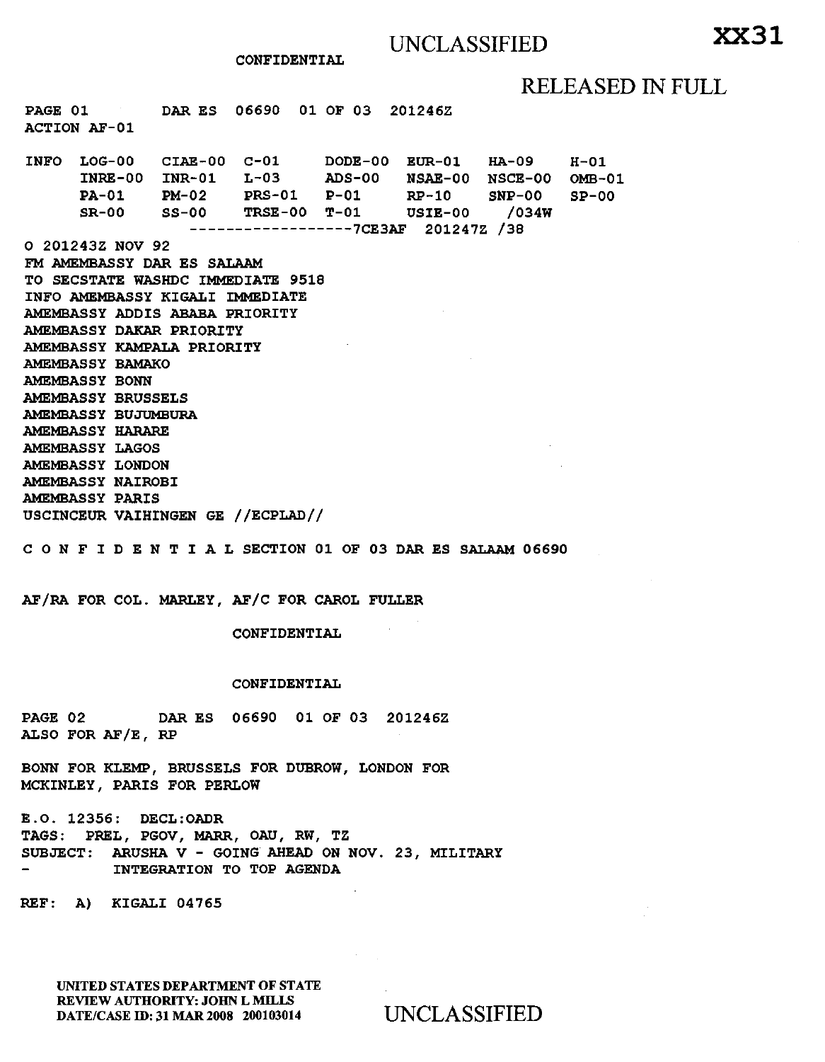CONFIDENTIAL

# RELEASED IN FULL

PAGE 01 DAR ES 06690 01 OF 03 201246Z ACTION AF-01

INFO LOG-00 INRE-00 PA-01 SR-00 CIAE-00 C-01 DODE-00 INR-01 L-03 ADS-00 PM-02 PRS-01 P-Ol SS-00 TRSE-00 T-01 ------------------7CE3AF 201247Z /38 0 201243Z NOV 92 FM AMEMBASSY DAR ES SALAAM TO SECSTATE WASHDC IMMEDIATE 9518 INFO AMEMBASSY KIGALI IMMEDIATE AMEMBASSY ADDIS ABABA PRIORITY AMEMBASSY DAKAR PRIORITY AMEMBASSY KAMPALA PRIORITY AMEMBASSY BAMAKO AMEMBASSY BONN AMEMBASSY BRUSSELS AMEMBASSY BUJUMBURA AMEMBASSY HARARE AMEMBASSY LAGOS AMEMBASSY LONDON AMEMBASSY NAIROBI AMEMBASSY PARIS USCINCEUR VAIHINGEN GE //ECPLAD// EUR-01 HA-09 NSAE-00 NSCE-00 RP-10 SNP-00 USIE-00 /034W C 0 N F I D E N T I A L SECTION 01 OF 03 DAR ES SALAAM 06690  $H-01$ OMB-01 SP-00

AF/RA FOR COL. MARLEY, AF/C FOR CAROL FULLER

CONFIDENTIAL

#### CONFIDENTIAL

PAGE 02 DAR ES 06690 01 OF 03 201246Z ALSO FOR AF/E, RP

BONN FOR KLEMP, BRUSSELS FOR DUBROW, LONDON FOR MCKINLEY, PARIS FOR PERLOW

E.O. 12356: DECL:OADR TAGS: PREL, PGOV, MARR, OAU, RW, TZ SUBJECT: ARUSHA V - GOING AHEAD ON NOV. 23, MILITARY INTEGRATION TO TOP AGENDA

REF: A) KIGALI 04765

UNITED STATES DEPARTMENT OF STATE REVIEW AUTHORITY: JOHN L MILLS DATE/CASE ID: 31 MAR 2008 200103014 UNCLASSIFIED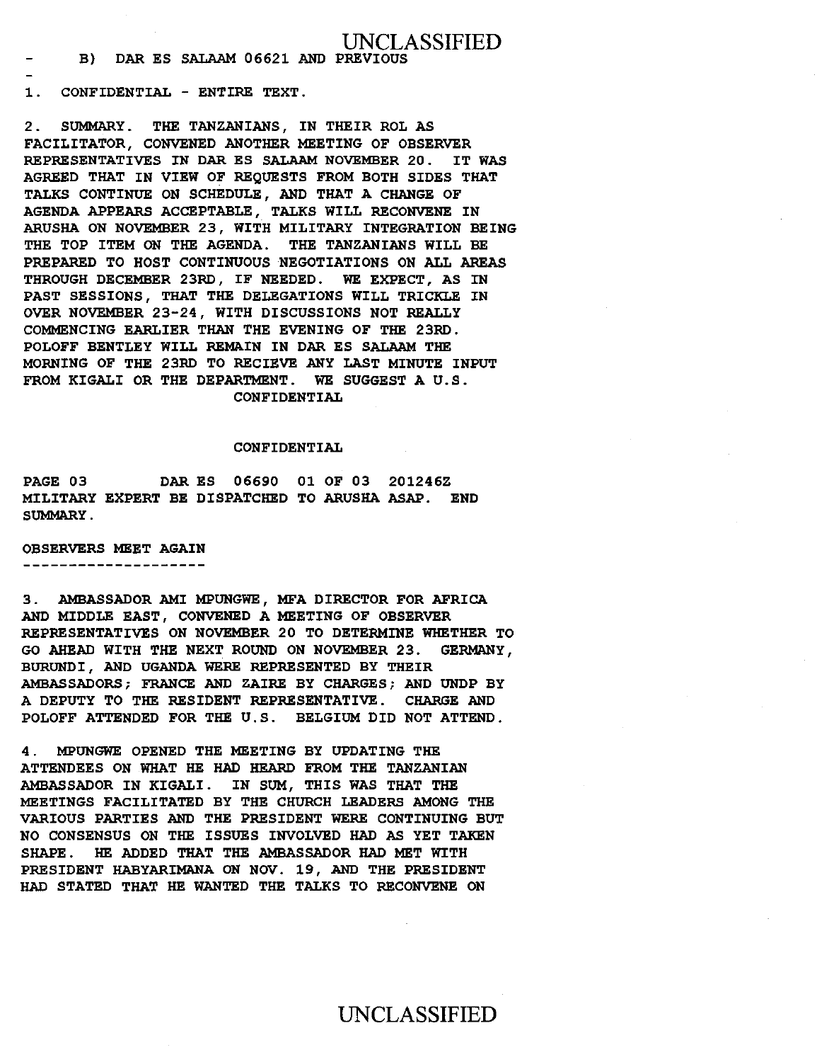### B) DAR ES SALAAM 06621 AND PREVIOUS

1. CONFIDENTIAL - ENTIRE TEXT.

 $\overline{a}$ 

2. SUMMARY. THE TANZANIANS, IN THEIR ROL AS FACILITATOR, CONVENED ANOTHER MEETING OF OBSERVER REPRESENTATIVES IN DAR ES SALAAM NOVEMBER 20. IT WAS AGREED THAT IN VIEW OF REQUESTS FROM BOTH SIDES THAT TALKS CONTINUE ON SCHEDULE, AND THAT A CHANGE OF AGENDA APPEARS ACCEPTABLE, TALKS WILL RECONVENE IN ARUSHA ON NOVEMBER 23, WITH MILITARY INTEGRATION BEING THE TOP ITEM ON THE AGENDA. THE TANZANIANS WILL BE PREPARED TO HOST CONTINUOUS NEGOTIATIONS ON ALL AREAS THROUGH DECEMBER 23RD, IF NEEDED. WE EXPECT, AS IN PAST SESSIONS, THAT THE DELEGATIONS WILL TRICKLE IN OVER NOVEMBER 23-24, WITH DISCUSSIONS NOT REALLY COMMENCING EARLIER THAN THE EVENING OF THE 23RD. POLOFF BENTLEY WILL REMAIN IN DAR ES SALAAM THE MORNING OF THE 23RD TO RECIEVE ANY LAST MINUTE INPUT FROM KIGALI OR THE DEPARTMENT. WE SUGGEST A U.S. CONFIDENTIAL

### CONFIDENTIAL

PAGE 03 DAR ES 06690 01 OF 03 201246Z MILITARY EXPERT BE DISPATCHED TO ARUSHA ASAP. END SUMMARY.

OBSERVERS MEET AGAIN ---------------------

3. AMBASSADOR AMI MPUNGWE, MFA DIRECTOR FOR AFRICA AND MIDDLE EAST, CONVENED A MEETING OF OBSERVER REPRESENTATIVES ON NOVEMBER 20 TO DETERMINE WHETHER TO GO AHEAD WITH THE NEXT ROUND ON NOVEMBER 23. GERMANY, BURUNDI, AND UGANDA WERE REPRESENTED BY THEIR AMBASSADORS; FRANCE AND ZAIRE BY CHARGES; AND UNDP BY A DEPUTY TO THE RESIDENT REPRESENTATIVE. CHARGE AND POLOFF ATTENDED FOR THE U.S. BELGIUM DID NOT ATTEND.

4 . MPUNGWE OPENED THE MEETING BY UPDATING THE ATTENDEES ON WHAT HE HAD HEARD FROM THE TANZANIAN AMBASSADOR IN KIGALI. IN SUM, THIS WAS THAT THE MEETINGS FACILITATED BY THE CHURCH LEADERS AMONG THE VARIOUS PARTIES AND THE PRESIDENT WERE CONTINUING BUT NO CONSENSUS ON THE ISSUES INVOLVED HAD AS YET TAKEN SHAPE. HE ADDED THAT THE AMBASSADOR HAD MET WITH PRESIDENT HABYARIMANA ON NOV. 19, AND THE PRESIDENT HAD STATED THAT HE WANTED THE TALKS TO RECONVENE ON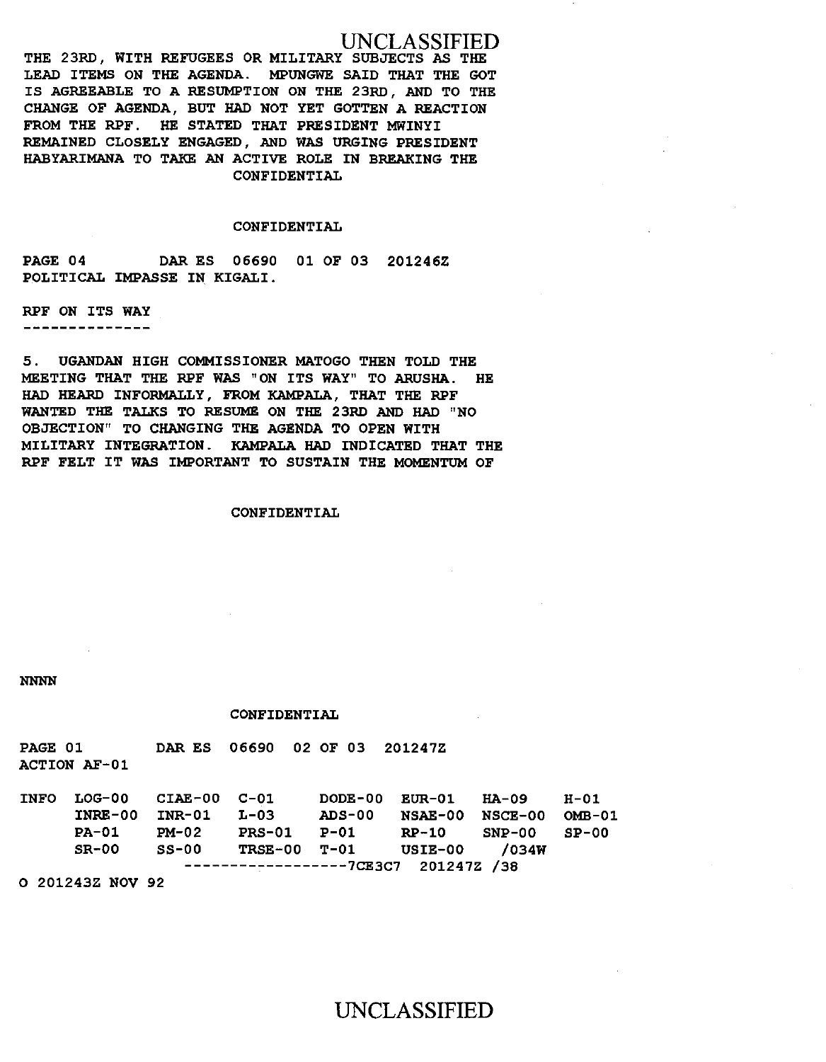THE 23RD, WITH REFUGEES OR MILITARY SUBJECTS AS THE LEAD ITEMS ON THE AGENDA. MPUNGWE SAID THAT THE GOT IS AGREEABLE TO A RESUMPTION ON THE 23RD, AND TO THE CHANGE OF AGENDA, BUT HAD NOT YET GOTTEN A REACTION FROM THE RPF. HE STATED THAT PRESIDENT MWINYI REMAINED CLOSELY ENGAGED, AND WAS URGING PRESIDENT HABYARIMANA TO TAKE AN ACTIVE ROLE IN BREAKING THE CONFIDENTIAL

### CONFIDENTIAL

PAGE 04 DAR ES 06690 01 OF 03 201246Z POLITICAL IMPASSE IN KIGALI.

RPF ON ITS WAY

--------------

5. UGANDAN HIGH COMMISSIONER MATOGO THEN TOLD THE MEETING THAT THE RPF WAS "ON ITS WAY" TO ARUSHA. HE HAD HEARD INFORMALLY, FROM KAMPALA, THAT THE RPF WANTED THE TALKS TO RESUME ON THE 23RD AND HAD "NO OBJECTION" TO CHANGING THE AGENDA TO OPEN WITH MILITARY INTEGRATION. KAMPALA HAD INDICATED THAT THE RPF FELT IT WAS IMPORTANT TO SUSTAIN THE MOMENTUM OF

### CONFIDENTIAL

NNNN

#### CONFIDENTIAL

PAGE 01 ACTION AF-01 DAR ES 06690 02 OF 03 201247Z

| <b>INFO</b> | LOG-00 CIAE-00 C-01                              |         |               |                                  |       | DODE-00 EUR-01 HA-09 H-01 |  |
|-------------|--------------------------------------------------|---------|---------------|----------------------------------|-------|---------------------------|--|
|             | $INRE-00$ $INR-01$                               |         | I-03          | <b>ADS-00</b>                    |       | NSAE-00 NSCE-00 OMB-01    |  |
|             | <b>PA-01</b>                                     | PM-02   | <b>PRS-01</b> | P-01                             | RP-10 | $SNP-00$ $SP-00$          |  |
|             | $SR-00$                                          | $SS-00$ |               | TRSE-00 T-01 USIE-00 /034W       |       |                           |  |
|             |                                                  |         |               | $------------7CE3C7 201247Z /38$ |       |                           |  |
|             | $A$ $AA$ $A$ $A$ $A$ $B$ $B$ $A$ $B$ $A$ $B$ $A$ |         |               |                                  |       |                           |  |

0 201243Z NOV 92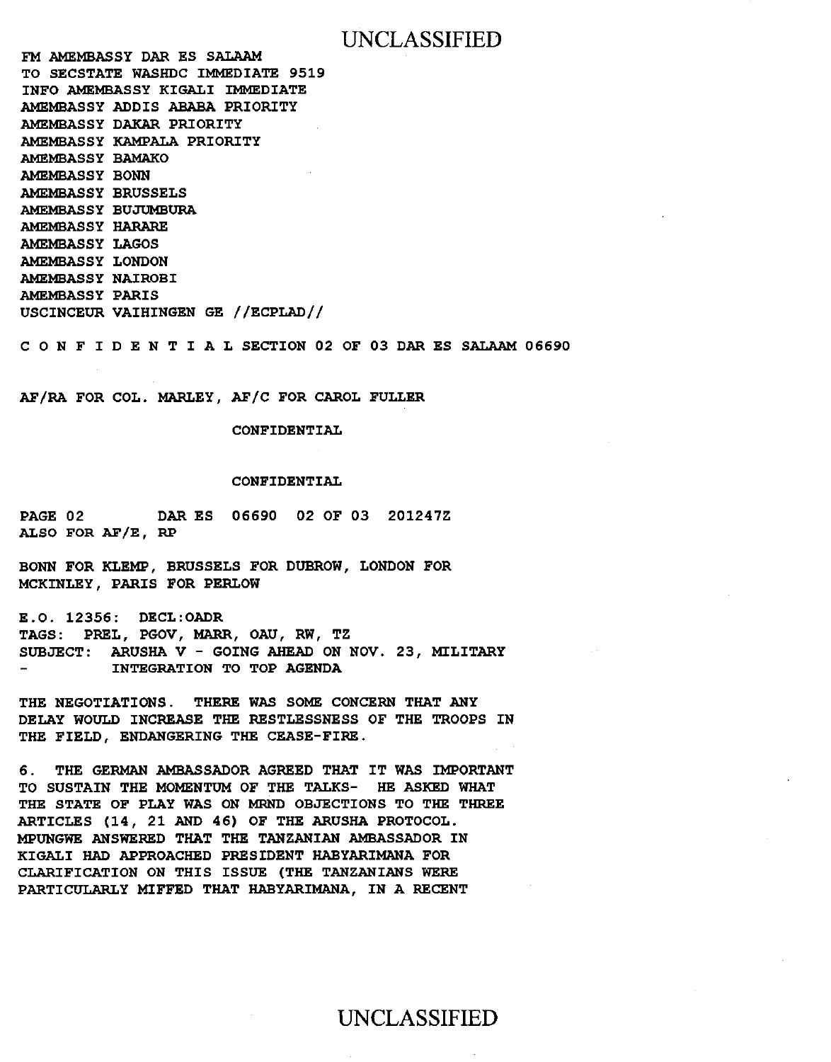FM AMEMBASSY DAR ES SALAAM TO SECSTATE WASHDC IMMEDIATE 9519 INFO AMEMBASSY KIGALI IMMEDIATE AMEMBASSY ADDIS ABABA PRIORITY AMEMBASSY DAKAR PRIORITY AMEMBASSY KAMPALA PRIORITY AMEMBASSY BAMAKO AMEMBASSY BONN AMEMBASSY BRUSSELS AMEMBASSY BUJUMBURA AMEMBASSY HARARE AMEMBASSY LAGOS AMEMBASSY LONDON AMEMBASSY NAIROBI AMEMBASSY PARIS USCINCEUR VAIHINGEN GE //ECPLAD//

C 0 N F I D E N T I A L SECTION 02 OF 03 DAR ES SALAAM 06690

AF/RA FOR COL. MARLEY, AF/C FOR CAROL FULLER

CONFIDENTIAL

### CONFIDENTIAL

PAGE 02 DAR ES 06690 02 OF 03 201247Z ALSO FOR AF/E, RP

BONN FOR KLEMP, BRUSSELS FOR DUBROW, LONDON FOR MCKINLEY, PARIS FOR PERLOW

E.O. 12356: DECL:OADR TAGS: PREL, PGOV, MARR, OAU, RW, TZ SUBJECT: ARUSHA V - GOING AHEAD ON NOV. 23, MILITARY INTEGRATION TO TOP AGENDA

THE NEGOTIATIONS. THERE WAS SOME CONCERN THAT ANY DELAY WOULD INCREASE THE RESTLESSNESS OF THE TROOPS IN THE FIELD, ENDANGERING THE CEASE-FIRE.

6. THE GERMAN AMBASSADOR AGREED THAT IT WAS IMPORTANT TO SUSTAIN THE MOMENTUM OF THE TALKS- HE ASKED WHAT THE STATE OF PLAY WAS ON MRND OBJECTIONS TO THE THREE ARTICLES (14, 21 AND 46) OF THE ARUSHA PROTOCOL. MPUNGWE ANSWERED THAT THE TANZANIAN AMBASSADOR IN KIGALI HAD APPROACHED PRESIDENT HABYARIMANA FOR CLARIFICATION ON THIS ISSUE (THE TANZANIANS WERE PARTICULARLY MIFFED THAT HABYARIMANA, IN A RECENT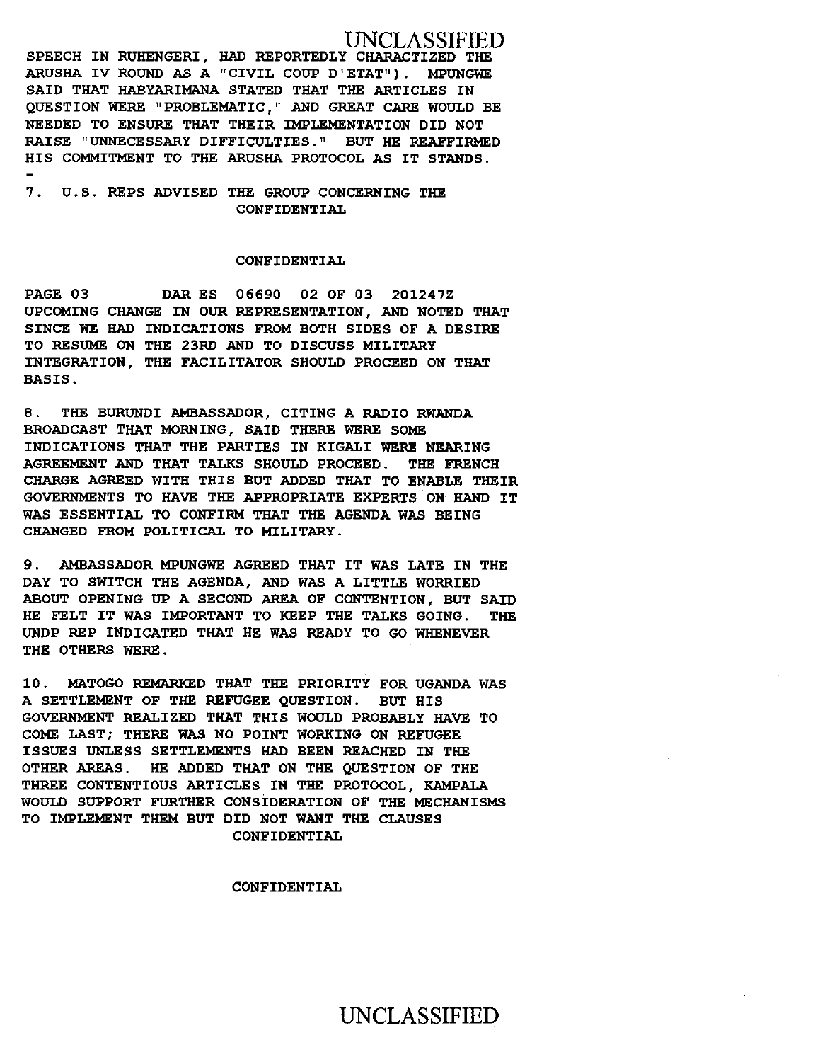SPEECH IN RUHENGERI, HAD REPORTEDLY CHARACTIZED THE ARUSHA IV ROUND AS A "CIVIL COUP D'ETAT" ) . MPUNGWE SAID THAT HABYARIMANA STATED THAT THE ARTICLES IN QUESTION WERE "PROBLEMATIC," AND GREAT CARE WOULD BE NEEDED TO ENSURE THAT THEIR IMPLEMENTATION DID NOT RAISE "UNNECESSARY DIFFICULTIES." BUT HE REAFFIRMED HIS COMMITMENT TO THE ARUSHA PROTOCOL AS IT STANDS.

7 . U.S. REPS ADVISED THE GROUP CONCERNING THE CONFIDENTIAL

### CONFIDENTIAL

PAGE 03 DAR ES 06690 02 OF 03 201247Z UPCOMING CHANGE IN OUR REPRESENTATION, AND NOTED THAT SINCE WE HAD INDICATIONS FROM BOTH SIDES OF A DESIRE TO RESUME ON THE 23RD AND TO DISCUSS MILITARY INTEGRATION, THE FACILITATOR SHOULD PROCEED ON THAT BASIS.

8. THE BURUNDI AMBASSADOR, CITING A RADIO RWANDA BROADCAST THAT MORNING, SAID THERE WERE SOME INDICATIONS THAT THE PARTIES IN KIGALI WERE NEARING AGREEMENT AND THAT TALKS SHOULD PROCEED . THE FRENCH CHARGE AGREED WITH THIS BUT ADDED THAT TO ENABLE THEIR GOVERNMENTS TO HAVE THE APPROPRIATE EXPERTS ON HAND IT WAS ESSENTIAL TO CONFIRM THAT THE AGENDA WAS BEING CHANGED FROM POLITICAL TO MILITARY.

9 . AMBASSADOR MPUNGWE AGREED THAT IT WAS LATE IN THE DAY TO SWITCH THE AGENDA, AND WAS A LITTLE WORRIED ABOUT OPENING UP A SECOND AREA OF CONTENTION, BUT SAID HE FELT IT WAS IMPORTANT TO KEEP THE TALKS GOING. THE UNDP REP INDICATED THAT HE WAS READY TO GO WHENEVER THE OTHERS WERE.

10. MATOGO REMARKED THAT THE PRIORITY FOR UGANDA WAS A SETTLEMENT OF THE REFUGEE QUESTION. BUT HIS GOVERNMENT REALIZED THAT THIS WOULD PROBABLY HAVE TO COME LAST; THERE WAS NO POINT WORKING ON REFUGEE ISSUES UNLESS SETTLEMENTS HAD BEEN REACHED IN THE OTHER AREAS. HE ADDED THAT ON THE QUESTION OF THE THREE CONTENTIOUS ARTICLES IN THE PROTOCOL, KAMPALA WOULD SUPPORT FURTHER CONSIDERATION OF THE MECHANISMS TO IMPLEMENT THEM BUT DID NOT WANT THE CLAUSES CONFIDENTIAL

#### CONFIDENTIAL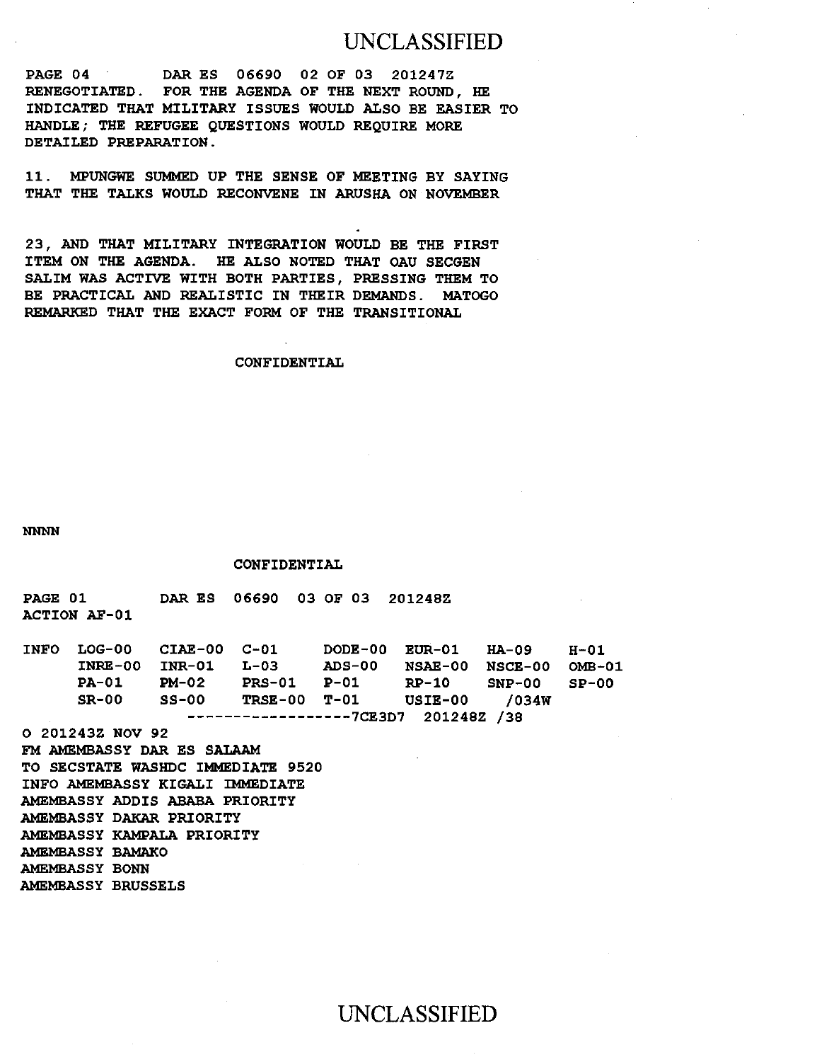PAGE 04 DAR ES 06690 02 OF 03 201247Z RENEGOTIATED. FOR THE AGENDA OF THE NEXT ROUND, HE INDICATED THAT MILITARY ISSUES WOULD ALSO BE EASIER TO HANDLE; THE REFUGEE QUESTIONS WOULD REQUIRE MORE DETAILED PREPARATION.

11 . MPUNGWE SUMMED UP THE SENSE OF MEETING BY SAYING THAT THE TALKS WOULD RECONVENE IN ARUSHA ON NOVEMBER

23, AND THAT MILITARY INTEGRATION WOULD BE THE FIRST ITEM ON THE AGENDA. HE ALSO NOTED THAT OAU SECGEN SALIM WAS ACTIVE WITH BOTH PARTIES, PRESSING THEM TO BE PRACTICAL AND REALISTIC IN THEIR DEMANDS. MATOGO REMARKED THAT THE EXACT FORM OF THE TRANSITIONAL

### CONFIDENTIAL

NNNN

CONFIDENTIAL

PAGE 01 ACTION AF-01 DAR ES 06690 03 OF 03 201248Z

| <b>INFO</b> |              | LOG-00 CIAE-00 C-01 |                                     |                            | DODE-00 EUR-01 HA-09   |              | H-01          |
|-------------|--------------|---------------------|-------------------------------------|----------------------------|------------------------|--------------|---------------|
|             | $INRE-00$    | INR-01              | $L-0.3$                             | ADS-00                     | <b>NSAE-00 NSCE-00</b> |              | <b>OMB-01</b> |
|             | <b>PA-01</b> | PM-02               | <b>PRS-01</b>                       | P-01                       | RP-10                  | SNP-00 SP-00 |               |
|             | $SR-00$      | SS-00               |                                     | TRSE-00 T-01 USIE-00 /034W |                        |              |               |
|             |              |                     | $---------------7CE3D7 201248Z /38$ |                            |                        |              |               |

0 201243Z NOV 92 FM AMEMBASSY DAR ES SALAAM TO SECSTATE WASHDC IMMEDIATE 9520 INFO AMEMBASSY KIGALI IMMEDIATE AMEMBASSY ADDIS ABABA PRIORITY AMEMBASSY DAKAR PRIORITY AMEMBASSY KAMPALA PRIORITY AMEMBASSY BAMAKO AMEMBASSY BONN AMEMBASSY BRUSSELS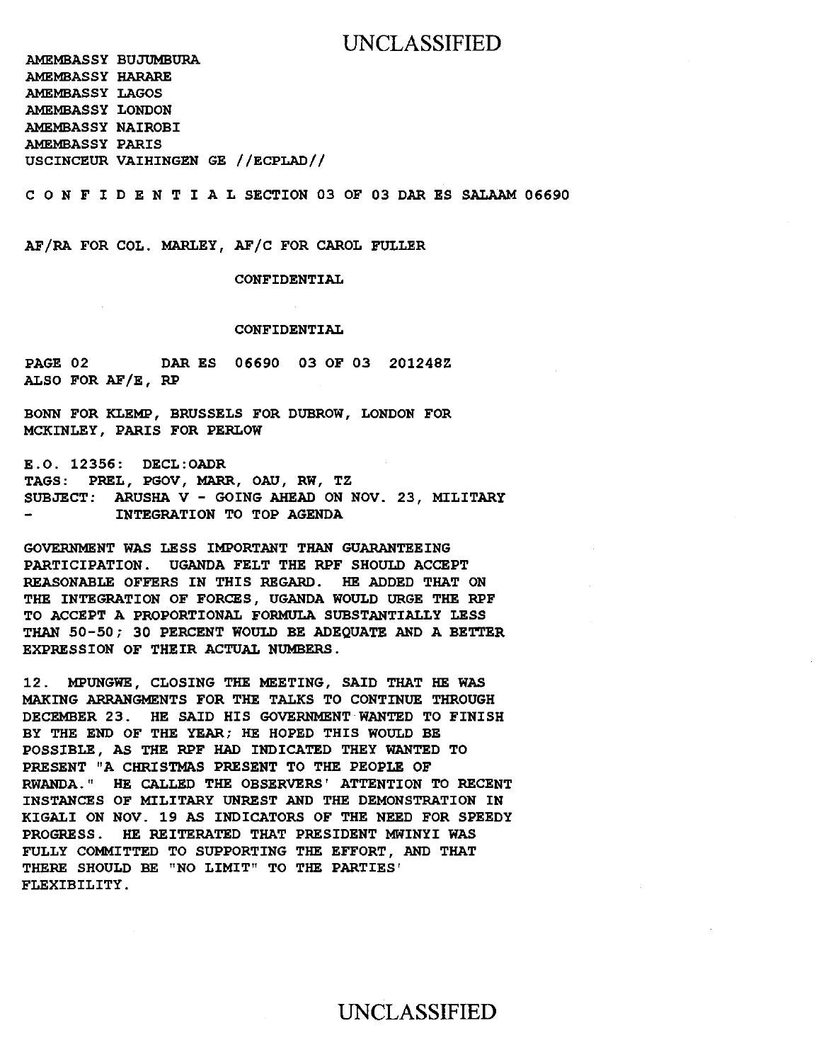AMEMBASSY BUJUMBURA AMEMBASSY HARARE AMEMBASSY LAGOS AMEMBASSY LONDON AMEMBASSY NAIROBI AMEMBASSY PARIS USCINCEUR VAIHINGEN GE //ECPLAD//

C 0 N F I D E N T I A L SECTION 03 OF 03 DAR ES SALAAM 06690

AF/RA FOR COL. MARLEY, AF/C FOR CAROL FULLER

CONFIDENTIAL

#### CONFIDENTIAL

PAGE 02 DAR ES 06690 03 OF 03 201248Z ALSO FOR AF/E, RP

BONN FOR KLEMP, BRUSSELS FOR DUBROW, LONDON FOR MCKINLEY, PARIS FOR PERLOW

E.O. 12356: DECL:OADR TAGS: PREL, PGOV, MARR, OAU, RW, TZ SUBJECT: ARUSHA V - GOING AHEAD ON NOV. 23, MILITARY INTEGRATION TO TOP AGENDA

GOVERNMENT WAS LESS IMPORTANT THAN GUARANTEEING PARTICIPATION. UGANDA FELT THE RPF SHOULD ACCEPT REASONABLE OFFERS IN THIS REGARD. HE ADDED THAT ON THE INTEGRATION OF FORCES, UGANDA WOULD URGE THE RPF TO ACCEPT A PROPORTIONAL FORMULA SUBSTANTIALLY LESS THAN 50-50; 30 PERCENT WOULD BE ADEQUATE AND A BETTER EXPRESSION OF THEIR ACTUAL NUMBERS.

12. MPUNGWE, CLOSING THE MEETING, SAID THAT HE WAS MAKING ARRANGMENTS FOR THE TALKS TO CONTINUE THROUGH DECEMBER 23. HE SAID HIS GOVERNMENT WANTED TO FINISH BY THE END OF THE YEAR; HE HOPED THIS WOULD BE POSSIBLE, AS THE RPF HAD INDICATED THEY WANTED TO PRESENT "A CHRISTMAS PRESENT TO THE PEOPLE OF RWANDA." HE CALLED THE OBSERVERS' ATTENTION TO RECENT INSTANCES OF MILITARY UNREST AND THE DEMONSTRATION IN KIGALI ON NOV. 19 AS INDICATORS OF THE NEED FOR SPEEDY PROGRESS. HE REITERATED THAT PRESIDENT MWINYI WAS FULLY COMMITTED TO SUPPORTING THE EFFORT, AND THAT THERE SHOULD BE "NO LIMIT" TO THE PARTIES' FLEXIBILITY.